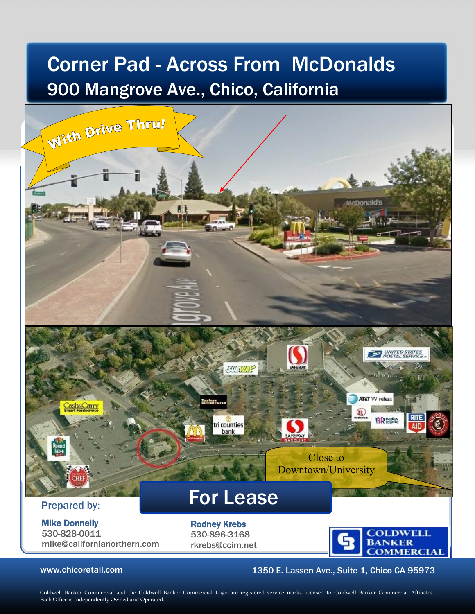# Corner Pad - Across From McDonalds 900 Mangrove Ave., Chico, California



## www.chicoretail.com **1350 E. Lassen Ave., Suite 1, Chico CA 95973**

Coldwell Banker Commercial and the Coldwell Banker Commercial Logo are registered service marks licensed to Coldwell Banker Commercial Affiliates. Each Office is Independently Owned and Operated.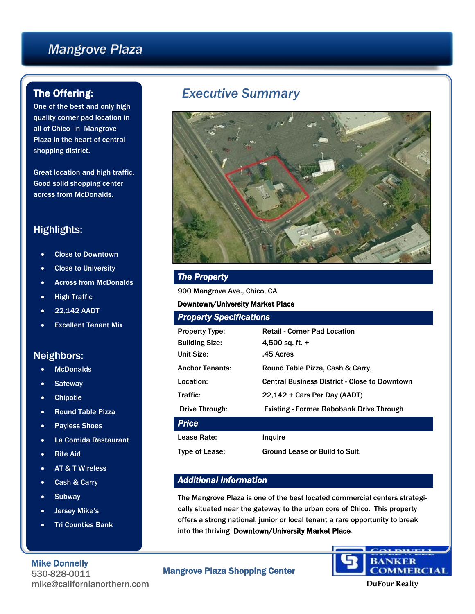# *Mangrove Plaza*

## The Offering:

One of the best and only high quality corner pad location in all of Chico in Mangrove Plaza in the heart of central shopping district.

Great location and high traffic. Good solid shopping center across from McDonalds.

## Highlights:

- Close to Downtown
- Close to University
- Across from McDonalds
- High Traffic
- 22,142 AADT
- Excellent Tenant Mix

## Neighbors:

- McDonalds
- **Safeway**
- Chipotle
- Round Table Pizza
- Payless Shoes
- La Comida Restaurant
- Rite Aid
- AT & T Wireless
- Cash & Carry
- **Subway**
- Jersey Mike's
- Tri Counties Bank

#### Mike Donnelly

530-828-0011 mike@californianorthern.com

# *Executive Summary*



## *The Property*

900 Mangrove Ave., Chico, CA

#### Downtown/University Market Place

| <b>Property Specifications</b> |                                                      |
|--------------------------------|------------------------------------------------------|
| <b>Property Type:</b>          | <b>Retail - Corner Pad Location</b>                  |
| <b>Building Size:</b>          | 4,500 sq. ft. $+$                                    |
| Unit Size:                     | .45 Acres                                            |
| <b>Anchor Tenants:</b>         | Round Table Pizza, Cash & Carry,                     |
| Location:                      | <b>Central Business District - Close to Downtown</b> |
| Traffic:                       | 22,142 + Cars Per Day (AADT)                         |
| Drive Through:                 | Existing - Former Rabobank Drive Through             |
| <b>Price</b>                   |                                                      |
| Lease Rate:                    | Inquire                                              |
| Type of Lease:                 | Ground Lease or Build to Suit.                       |

#### *Additional Information*

The Mangrove Plaza is one of the best located commercial centers strategically situated near the gateway to the urban core of Chico. This property offers a strong national, junior or local tenant a rare opportunity to break into the thriving Downtown/University Market Place.

#### Mangrove Plaza Shopping Center



**DuFour Realty**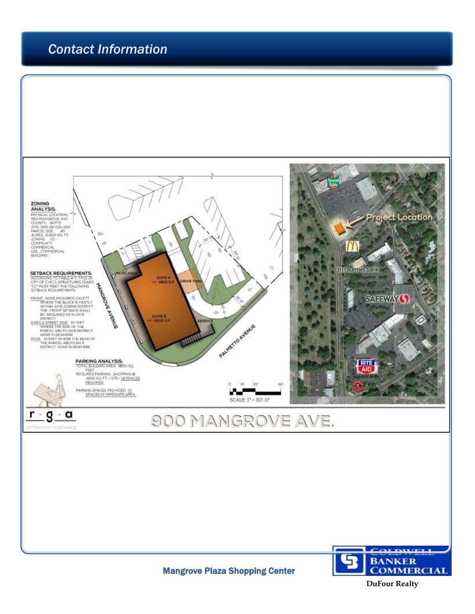# *Contact Information*



**DuFour Realty**